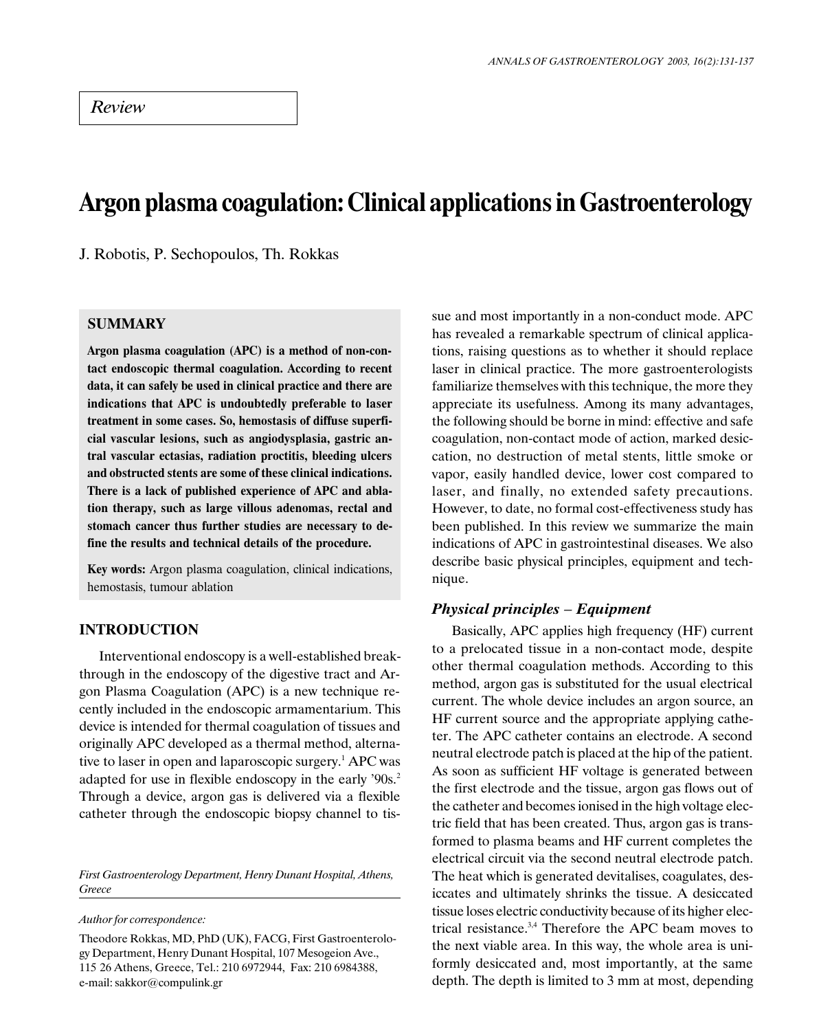# Argon plasma coagulation: Clinical applications in Gastroenterology

J. Robotis, P. Sechopoulos, Th. Rokkas

# SUMMARY

Argon plasma coagulation (APC) is a method of non-contact endoscopic thermal coagulation. According to recent data, it can safely be used in clinical practice and there are indications that APC is undoubtedly preferable to laser treatment in some cases. So, hemostasis of diffuse superficial vascular lesions, such as angiodysplasia, gastric antral vascular ectasias, radiation proctitis, bleeding ulcers and obstructed stents are some of these clinical indications. There is a lack of published experience of APC and ablation therapy, such as large villous adenomas, rectal and stomach cancer thus further studies are necessary to define the results and technical details of the procedure.

Key words: Argon plasma coagulation, clinical indications, hemostasis, tumour ablation

# INTRODUCTION

Interventional endoscopy is a well-established breakthrough in the endoscopy of the digestive tract and Argon Plasma Coagulation (APC) is a new technique recently included in the endoscopic armamentarium. This device is intended for thermal coagulation of tissues and originally APC developed as a thermal method, alternative to laser in open and laparoscopic surgery.<sup>1</sup> APC was adapted for use in flexible endoscopy in the early '90s.<sup>2</sup> Through a device, argon gas is delivered via a flexible catheter through the endoscopic biopsy channel to tis-

First Gastroenterology Department, Henry Dunant Hospital, Athens, Greece

Author for correspondence:

Theodore Rokkas, MD, PhD (UK), FACG, First Gastroenterology Department, Henry Dunant Hospital, 107 Mesogeion Ave., 115 26 Athens, Greece, Tel.: 210 6972944, Fax: 210 6984388, e-mail: sakkor@compulink.gr

sue and most importantly in a non-conduct mode. APC has revealed a remarkable spectrum of clinical applications, raising questions as to whether it should replace laser in clinical practice. The more gastroenterologists familiarize themselves with this technique, the more they appreciate its usefulness. Among its many advantages, the following should be borne in mind: effective and safe coagulation, non-contact mode of action, marked desiccation, no destruction of metal stents, little smoke or vapor, easily handled device, lower cost compared to laser, and finally, no extended safety precautions. However, to date, no formal cost-effectiveness study has been published. In this review we summarize the main indications of APC in gastrointestinal diseases. We also describe basic physical principles, equipment and technique.

## **Physical principles – Equipment**

Basically, APC applies high frequency (HF) current to a prelocated tissue in a non-contact mode, despite other thermal coagulation methods. According to this method, argon gas is substituted for the usual electrical current. The whole device includes an argon source, an HF current source and the appropriate applying catheter. The APC catheter contains an electrode. A second neutral electrode patch is placed at the hip of the patient. As soon as sufficient HF voltage is generated between the first electrode and the tissue, argon gas flows out of the catheter and becomes ionised in the high voltage electric field that has been created. Thus, argon gas is transformed to plasma beams and HF current completes the electrical circuit via the second neutral electrode patch. The heat which is generated devitalises, coagulates, desiccates and ultimately shrinks the tissue. A desiccated tissue loses electric conductivity because of its higher electrical resistance.3,4 Therefore the APC beam moves to the next viable area. In this way, the whole area is uniformly desiccated and, most importantly, at the same depth. The depth is limited to 3 mm at most, depending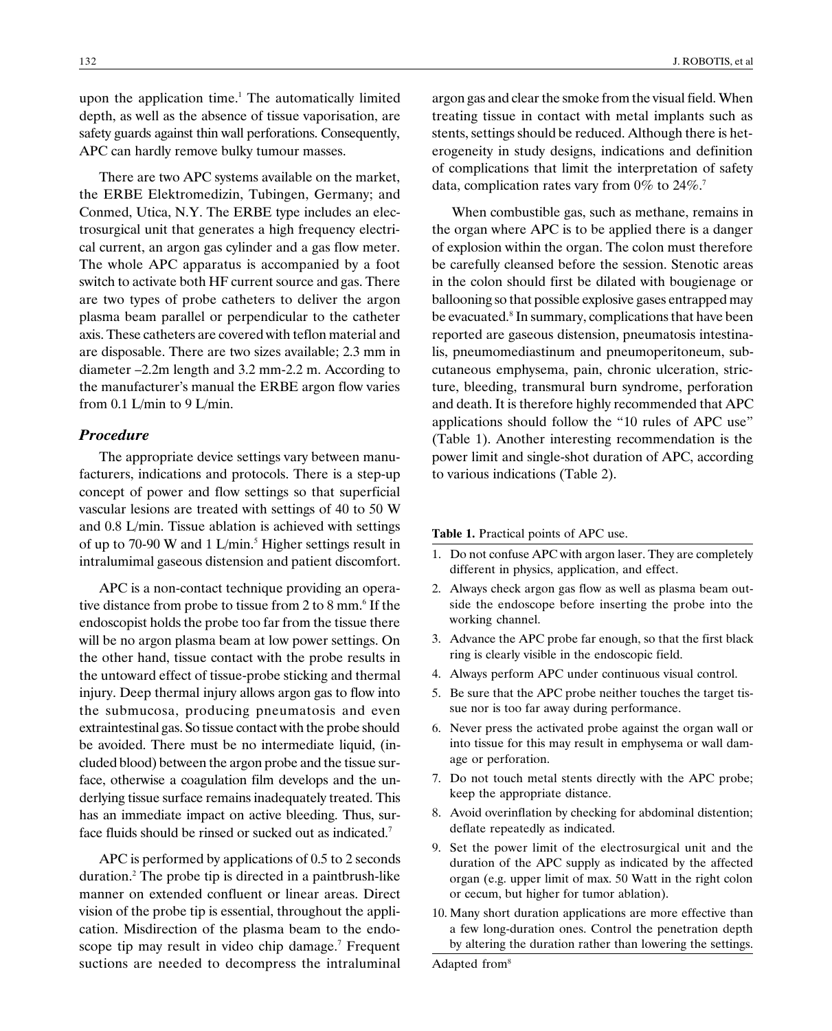upon the application time.<sup>1</sup> The automatically limited depth, as well as the absence of tissue vaporisation, are safety guards against thin wall perforations. Consequently, APC can hardly remove bulky tumour masses.

There are two APC systems available on the market, the ERBE Elektromedizin, Tubingen, Germany; and Conmed, Utica, N.Y. The ERBE type includes an electrosurgical unit that generates a high frequency electrical current, an argon gas cylinder and a gas flow meter. The whole APC apparatus is accompanied by a foot switch to activate both HF current source and gas. There are two types of probe catheters to deliver the argon plasma beam parallel or perpendicular to the catheter axis. These catheters are covered with teflon material and are disposable. There are two sizes available; 2.3 mm in diameter  $-2.2m$  length and 3.2 mm-2.2 m. According to the manufacturer's manual the ERBE argon flow varies from 0.1 L/min to 9 L/min.

## Procedure

The appropriate device settings vary between manufacturers, indications and protocols. There is a step-up concept of power and flow settings so that superficial vascular lesions are treated with settings of 40 to 50 W and 0.8 L/min. Tissue ablation is achieved with settings of up to 70-90 W and 1 L/min.<sup>5</sup> Higher settings result in intralumimal gaseous distension and patient discomfort.

APC is a non-contact technique providing an operative distance from probe to tissue from 2 to 8 mm.<sup>6</sup> If the endoscopist holds the probe too far from the tissue there will be no argon plasma beam at low power settings. On the other hand, tissue contact with the probe results in the untoward effect of tissue-probe sticking and thermal injury. Deep thermal injury allows argon gas to flow into the submucosa, producing pneumatosis and even extraintestinal gas. So tissue contact with the probe should be avoided. There must be no intermediate liquid, (included blood) between the argon probe and the tissue surface, otherwise a coagulation film develops and the underlying tissue surface remains inadequately treated. This has an immediate impact on active bleeding. Thus, surface fluids should be rinsed or sucked out as indicated.<sup>7</sup>

APC is performed by applications of 0.5 to 2 seconds duration.2 The probe tip is directed in a paintbrush-like manner on extended confluent or linear areas. Direct vision of the probe tip is essential, throughout the application. Misdirection of the plasma beam to the endoscope tip may result in video chip damage.<sup>7</sup> Frequent suctions are needed to decompress the intraluminal argon gas and clear the smoke from the visual field. When treating tissue in contact with metal implants such as stents, settings should be reduced. Although there is heterogeneity in study designs, indications and definition of complications that limit the interpretation of safety data, complication rates vary from 0% to 24%.<sup>7</sup>

When combustible gas, such as methane, remains in the organ where APC is to be applied there is a danger of explosion within the organ. The colon must therefore be carefully cleansed before the session. Stenotic areas in the colon should first be dilated with bougienage or ballooning so that possible explosive gases entrapped may be evacuated.<sup>8</sup> In summary, complications that have been reported are gaseous distension, pneumatosis intestinalis, pneumomediastinum and pneumoperitoneum, subcutaneous emphysema, pain, chronic ulceration, stricture, bleeding, transmural burn syndrome, perforation and death. It is therefore highly recommended that APC applications should follow the "10 rules of APC use" (Table 1). Another interesting recommendation is the power limit and single-shot duration of APC, according to various indications (Table 2).

#### Table 1. Practical points of APC use.

- 1. Do not confuse APC with argon laser. They are completely different in physics, application, and effect.
- 2. Always check argon gas flow as well as plasma beam outside the endoscope before inserting the probe into the working channel.
- 3. Advance the APC probe far enough, so that the first black ring is clearly visible in the endoscopic field.
- 4. Always perform APC under continuous visual control.
- 5. Be sure that the APC probe neither touches the target tissue nor is too far away during performance.
- 6. Never press the activated probe against the organ wall or into tissue for this may result in emphysema or wall damage or perforation.
- 7. Do not touch metal stents directly with the APC probe; keep the appropriate distance.
- 8. Avoid overinflation by checking for abdominal distention; deflate repeatedly as indicated.
- 9. Set the power limit of the electrosurgical unit and the duration of the APC supply as indicated by the affected organ (e.g. upper limit of max. 50 Watt in the right colon or cecum, but higher for tumor ablation).
- 10. Many short duration applications are more effective than a few long-duration ones. Control the penetration depth by altering the duration rather than lowering the settings.

Adapted from<sup>8</sup>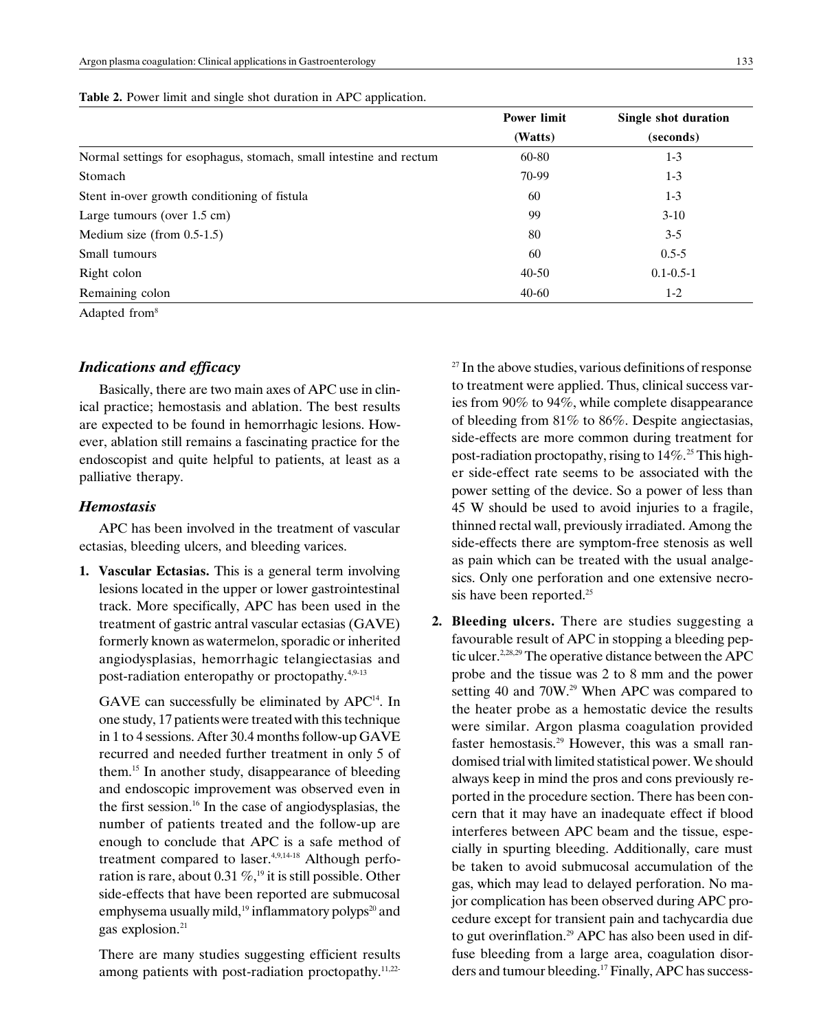|                                                                    | <b>Power limit</b> | Single shot duration |
|--------------------------------------------------------------------|--------------------|----------------------|
|                                                                    | (Watts)            | (seconds)            |
| Normal settings for esophagus, stomach, small intestine and rectum | 60-80              | $1 - 3$              |
| Stomach                                                            | 70-99              | $1 - 3$              |
| Stent in-over growth conditioning of fistula                       | 60                 | $1 - 3$              |
| Large tumours (over $1.5$ cm)                                      | 99                 | $3-10$               |
| Medium size (from $0.5-1.5$ )                                      | 80                 | $3-5$                |
| Small tumours                                                      | 60                 | $0.5 - 5$            |
| Right colon                                                        | $40 - 50$          | $0.1 - 0.5 - 1$      |
| Remaining colon                                                    | $40 - 60$          | $1-2$                |

|  | Table 2. Power limit and single shot duration in APC application. |  |  |  |  |  |
|--|-------------------------------------------------------------------|--|--|--|--|--|
|--|-------------------------------------------------------------------|--|--|--|--|--|

Adapted from8

## Indications and efficacy

Basically, there are two main axes of APC use in clinical practice; hemostasis and ablation. The best results are expected to be found in hemorrhagic lesions. However, ablation still remains a fascinating practice for the endoscopist and quite helpful to patients, at least as a palliative therapy.

## **Hemostasis**

APC has been involved in the treatment of vascular ectasias, bleeding ulcers, and bleeding varices.

1. Vascular Ectasias. This is a general term involving lesions located in the upper or lower gastrointestinal track. More specifically, APC has been used in the treatment of gastric antral vascular ectasias (GAVE) formerly known as watermelon, sporadic or inherited angiodysplasias, hemorrhagic telangiectasias and post-radiation enteropathy or proctopathy.<sup>4,9-13</sup>

GAVE can successfully be eliminated by APC<sup>14</sup>. In one study, 17 patients were treated with this technique in 1 to 4 sessions. After 30.4 months follow-up GAVE recurred and needed further treatment in only 5 of them.15 In another study, disappearance of bleeding and endoscopic improvement was observed even in the first session.16 In the case of angiodysplasias, the number of patients treated and the follow-up are enough to conclude that APC is a safe method of treatment compared to laser. $4,9,14-18$  Although perforation is rare, about 0.31  $\%$ ,<sup>19</sup> it is still possible. Other side-effects that have been reported are submucosal emphysema usually mild,<sup>19</sup> inflammatory polyps<sup>20</sup> and gas explosion.<sup>21</sup>

There are many studies suggesting efficient results among patients with post-radiation proctopathy.<sup>11,22-</sup>  $27$  In the above studies, various definitions of response to treatment were applied. Thus, clinical success varies from 90% to 94%, while complete disappearance of bleeding from 81% to 86%. Despite angiectasias, side-effects are more common during treatment for post-radiation proctopathy, rising to  $14\%$ <sup>25</sup> This higher side-effect rate seems to be associated with the power setting of the device. So a power of less than 45 W should be used to avoid injuries to a fragile, thinned rectal wall, previously irradiated. Among the side-effects there are symptom-free stenosis as well as pain which can be treated with the usual analgesics. Only one perforation and one extensive necrosis have been reported.<sup>25</sup>

2. Bleeding ulcers. There are studies suggesting a favourable result of APC in stopping a bleeding peptic ulcer.<sup>2,28,29</sup> The operative distance between the APC probe and the tissue was 2 to 8 mm and the power setting 40 and 70W.<sup>29</sup> When APC was compared to the heater probe as a hemostatic device the results were similar. Argon plasma coagulation provided faster hemostasis.29 However, this was a small randomised trial with limited statistical power. We should always keep in mind the pros and cons previously reported in the procedure section. There has been concern that it may have an inadequate effect if blood interferes between APC beam and the tissue, especially in spurting bleeding. Additionally, care must be taken to avoid submucosal accumulation of the gas, which may lead to delayed perforation. No major complication has been observed during APC procedure except for transient pain and tachycardia due to gut overinflation.<sup>29</sup> APC has also been used in diffuse bleeding from a large area, coagulation disorders and tumour bleeding.<sup>17</sup> Finally, APC has success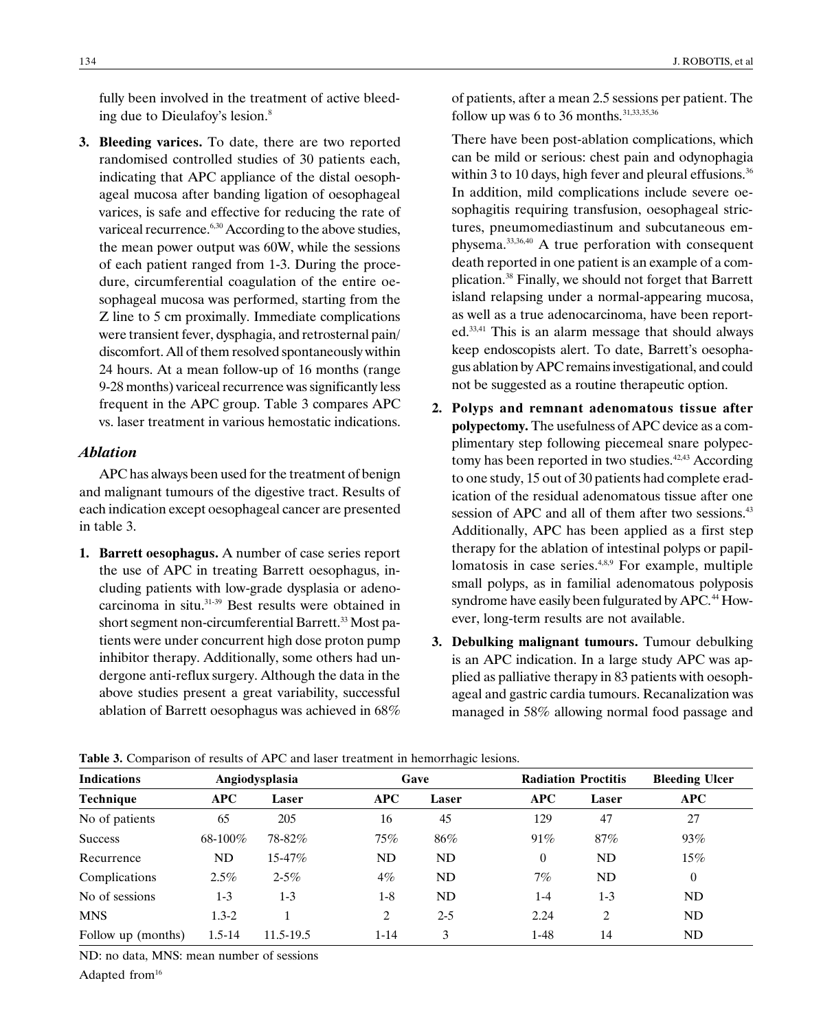fully been involved in the treatment of active bleeding due to Dieulafoy's lesion.<sup>8</sup>

3. Bleeding varices. To date, there are two reported randomised controlled studies of 30 patients each, indicating that APC appliance of the distal oesophageal mucosa after banding ligation of oesophageal varices, is safe and effective for reducing the rate of variceal recurrence.<sup>6,30</sup> According to the above studies, the mean power output was 60W, while the sessions of each patient ranged from 1-3. During the procedure, circumferential coagulation of the entire oesophageal mucosa was performed, starting from the Z line to 5 cm proximally. Immediate complications were transient fever, dysphagia, and retrosternal pain/ discomfort. All of them resolved spontaneously within 24 hours. At a mean follow-up of 16 months (range 9-28 months) variceal recurrence was significantly less frequent in the APC group. Table 3 compares APC vs. laser treatment in various hemostatic indications.

## Ablation

APC has always been used for the treatment of benign and malignant tumours of the digestive tract. Results of each indication except oesophageal cancer are presented in table 3.

1. Barrett oesophagus. A number of case series report the use of APC in treating Barrett oesophagus, including patients with low-grade dysplasia or adenocarcinoma in situ.31-39 Best results were obtained in short segment non-circumferential Barrett.<sup>33</sup> Most patients were under concurrent high dose proton pump inhibitor therapy. Additionally, some others had undergone anti-reflux surgery. Although the data in the above studies present a great variability, successful ablation of Barrett oesophagus was achieved in 68% of patients, after a mean 2.5 sessions per patient. The follow up was 6 to 36 months.<sup>31,33,35,36</sup>

There have been post-ablation complications, which can be mild or serious: chest pain and odynophagia within 3 to 10 days, high fever and pleural effusions.<sup>36</sup> In addition, mild complications include severe oesophagitis requiring transfusion, oesophageal strictures, pneumomediastinum and subcutaneous emphysema.33,36,40 A true perforation with consequent death reported in one patient is an example of a complication.38 Finally, we should not forget that Barrett island relapsing under a normal-appearing mucosa, as well as a true adenocarcinoma, have been reported.33,41 This is an alarm message that should always keep endoscopists alert. To date, Barrett's oesophagus ablation by APC remains investigational, and could not be suggested as a routine therapeutic option.

- 2. Polyps and remnant adenomatous tissue after polypectomy. The usefulness of APC device as a complimentary step following piecemeal snare polypectomy has been reported in two studies. $42,43$  According to one study, 15 out of 30 patients had complete eradication of the residual adenomatous tissue after one session of APC and all of them after two sessions.<sup>43</sup> Additionally, APC has been applied as a first step therapy for the ablation of intestinal polyps or papillomatosis in case series.<sup>4,8,9</sup> For example, multiple small polyps, as in familial adenomatous polyposis syndrome have easily been fulgurated by APC.<sup>44</sup> However, long-term results are not available.
- 3. Debulking malignant tumours. Tumour debulking is an APC indication. In a large study APC was applied as palliative therapy in 83 patients with oesophageal and gastric cardia tumours. Recanalization was managed in 58% allowing normal food passage and

| <b>Indications</b> | Angiodysplasia |             |            | Gave      | <b>Radiation Proctitis</b> |                | <b>Bleeding Ulcer</b> |  |
|--------------------|----------------|-------------|------------|-----------|----------------------------|----------------|-----------------------|--|
| <b>Technique</b>   | <b>APC</b>     | Laser       | <b>APC</b> | Laser     | <b>APC</b>                 | Laser          | <b>APC</b>            |  |
| No of patients     | 65             | 205         | 16         | 45        | 129                        | 47             | 27                    |  |
| <b>Success</b>     | 68-100%        | 78-82%      | 75%        | 86%       | 91%                        | 87%            | 93%                   |  |
| Recurrence         | ND             | $15 - 47\%$ | ND         | ND        | $\theta$                   | <b>ND</b>      | 15%                   |  |
| Complications      | $2.5\%$        | $2 - 5\%$   | $4\%$      | <b>ND</b> | 7%                         | ND             | 0                     |  |
| No of sessions     | $1-3$          | $1-3$       | $1-8$      | ND        | $1 - 4$                    | $1 - 3$        | ND.                   |  |
| <b>MNS</b>         | $1.3 - 2$      |             | 2          | $2 - 5$   | 2.24                       | $\overline{c}$ | ND                    |  |
| Follow up (months) | $1.5 - 14$     | 11.5-19.5   | $1 - 14$   | 3         | $1-48$                     | 14             | ND                    |  |

Table 3. Comparison of results of APC and laser treatment in hemorrhagic lesions.

ND: no data, MNS: mean number of sessions

Adapted from<sup>16</sup>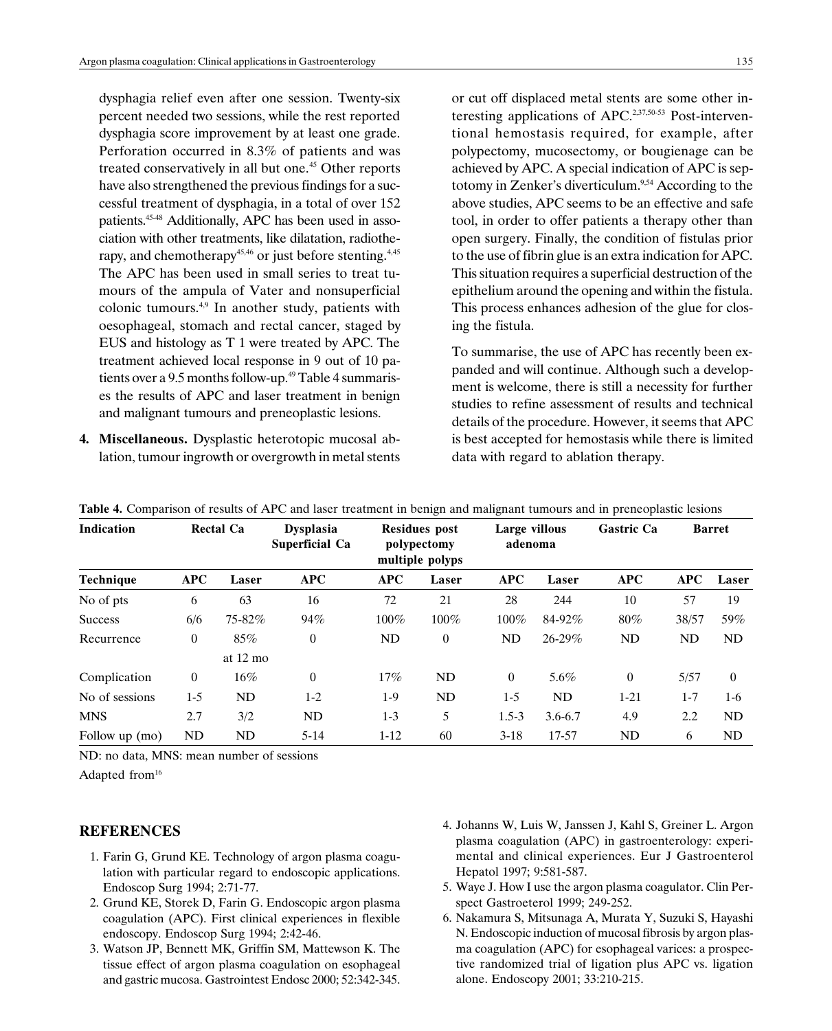dysphagia relief even after one session. Twenty-six percent needed two sessions, while the rest reported dysphagia score improvement by at least one grade. Perforation occurred in 8.3% of patients and was treated conservatively in all but one.<sup>45</sup> Other reports have also strengthened the previous findings for a successful treatment of dysphagia, in a total of over 152 patients.<sup>45-48</sup> Additionally, APC has been used in association with other treatments, like dilatation, radiotherapy, and chemotherapy<sup>45,46</sup> or just before stenting.<sup>4,45</sup> The APC has been used in small series to treat tumours of the ampula of Vater and nonsuperficial colonic tumours.4,9 In another study, patients with oesophageal, stomach and rectal cancer, staged by EUS and histology as T 1 were treated by APC. The treatment achieved local response in 9 out of 10 patients over a 9.5 months follow-up.<sup>49</sup> Table 4 summarises the results of APC and laser treatment in benign and malignant tumours and preneoplastic lesions.

4. Miscellaneous. Dysplastic heterotopic mucosal ablation, tumour ingrowth or overgrowth in metal stents or cut off displaced metal stents are some other interesting applications of APC.2,37,50-53 Post-interventional hemostasis required, for example, after polypectomy, mucosectomy, or bougienage can be achieved by APC. A special indication of APC is septotomy in Zenker's diverticulum.<sup>9,54</sup> According to the above studies, APC seems to be an effective and safe tool, in order to offer patients a therapy other than open surgery. Finally, the condition of fistulas prior to the use of fibrin glue is an extra indication for APC. This situation requires a superficial destruction of the epithelium around the opening and within the fistula. This process enhances adhesion of the glue for closing the fistula.

To summarise, the use of APC has recently been expanded and will continue. Although such a development is welcome, there is still a necessity for further studies to refine assessment of results and technical details of the procedure. However, it seems that APC is best accepted for hemostasis while there is limited data with regard to ablation therapy.

| <b>Indication</b> | <b>Rectal Ca</b> |                    | <b>Dysplasia</b><br><b>Superficial Ca</b> | <b>Residues</b> post<br>polypectomy<br>multiple polyps |                | 0<br>Large villous<br>adenoma |             | <b>Gastric Ca</b> | <b>Barret</b> |                |
|-------------------|------------------|--------------------|-------------------------------------------|--------------------------------------------------------|----------------|-------------------------------|-------------|-------------------|---------------|----------------|
| Technique         | <b>APC</b>       | Laser              | APC                                       | <b>APC</b>                                             | Laser          | APC                           | Laser       | <b>APC</b>        | APC           | Laser          |
| No of pts         | 6                | 63                 | 16                                        | 72                                                     | 21             | 28                            | 244         | 10                | 57            | 19             |
| <b>Success</b>    | 6/6              | 75-82%             | 94%                                       | $100\%$                                                | 100%           | $100\%$                       | 84-92%      | $80\%$            | 38/57         | 59%            |
| Recurrence        | $\theta$         | 85%                | $\overline{0}$                            | ND                                                     | $\overline{0}$ | ND                            | $26 - 29\%$ | ND                | ND            | ND             |
|                   |                  | at $12 \text{ mo}$ |                                           |                                                        |                |                               |             |                   |               |                |
| Complication      | $\mathbf{0}$     | $16\%$             | $\overline{0}$                            | 17%                                                    | ND             | $\theta$                      | 5.6%        | $\overline{0}$    | 5/57          | $\overline{0}$ |
| No of sessions    | $1 - 5$          | ND                 | $1-2$                                     | $1-9$                                                  | ND             | $1 - 5$                       | ND          | $1 - 21$          | $1 - 7$       | 1-6            |
| <b>MNS</b>        | 2.7              | 3/2                | ND                                        | $1-3$                                                  | 5              | $1.5 - 3$                     | $3.6 - 6.7$ | 4.9               | 2.2           | ND             |
| Follow up (mo)    | ND               | ND                 | $5-14$                                    | $1 - 12$                                               | 60             | $3-18$                        | 17-57       | ND                | 6             | ND             |

Table 4. Comparison of results of APC and laser treatment in benign and malignant tumours and in preneoplastic lesions

ND: no data, MNS: mean number of sessions

Adapted from<sup>16</sup>

## **REFERENCES**

- 1. Farin G, Grund KE. Technology of argon plasma coagulation with particular regard to endoscopic applications. Endoscop Surg 1994; 2:71-77.
- 2. Grund KE, Storek D, Farin G. Endoscopic argon plasma coagulation (APC). First clinical experiences in flexible endoscopy. Endoscop Surg 1994; 2:42-46.
- 3. Watson JP, Bennett MK, Griffin SM, Mattewson K. The tissue effect of argon plasma coagulation on esophageal and gastric mucosa. Gastrointest Endosc 2000; 52:342-345.
- 4. Johanns W, Luis W, Janssen J, Kahl S, Greiner L. Argon plasma coagulation (APC) in gastroenterology: experimental and clinical experiences. Eur J Gastroenterol Hepatol 1997; 9:581-587.
- 5. Waye J. How I use the argon plasma coagulator. Clin Perspect Gastroeterol 1999; 249-252.
- 6. Nakamura S, Mitsunaga A, Murata Y, Suzuki S, Hayashi N. Endoscopic induction of mucosal fibrosis by argon plasma coagulation (APC) for esophageal varices: a prospective randomized trial of ligation plus APC vs. ligation alone. Endoscopy 2001; 33:210-215.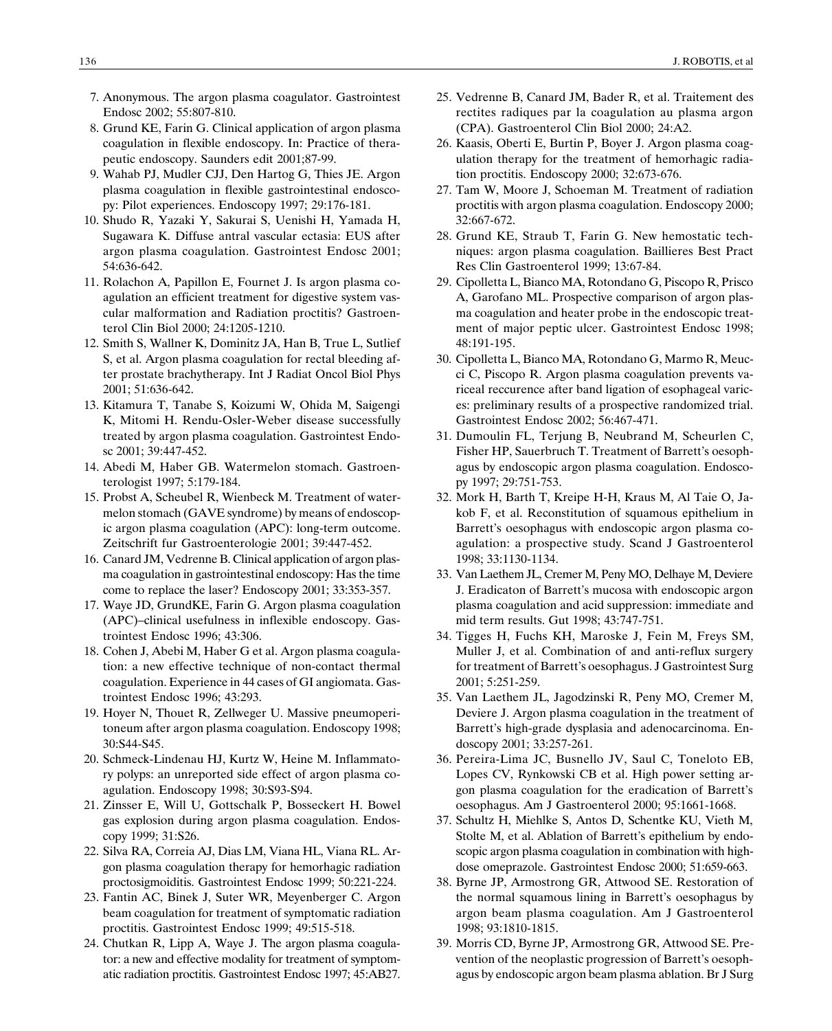- 7. Anonymous. The argon plasma coagulator. Gastrointest Endosc 2002; 55:807-810.
- 8. Grund KE, Farin G. Clinical application of argon plasma coagulation in flexible endoscopy. In: Practice of therapeutic endoscopy. Saunders edit 2001;87-99.
- 9. Wahab PJ, Mudler CJJ, Den Hartog G, Thies JE. Argon plasma coagulation in flexible gastrointestinal endoscopy: Pilot experiences. Endoscopy 1997; 29:176-181.
- 10. Shudo R, Yazaki Y, Sakurai S, Uenishi H, Yamada H, Sugawara K. Diffuse antral vascular ectasia: EUS after argon plasma coagulation. Gastrointest Endosc 2001; 54:636-642.
- 11. Rolachon A, Papillon E, Fournet J. Is argon plasma coagulation an efficient treatment for digestive system vascular malformation and Radiation proctitis? Gastroenterol Clin Biol 2000; 24:1205-1210.
- 12. Smith S, Wallner K, Dominitz JA, Han B, True L, Sutlief S, et al. Argon plasma coagulation for rectal bleeding after prostate brachytherapy. Int J Radiat Oncol Biol Phys 2001; 51:636-642.
- 13. Kitamura T, Tanabe S, Koizumi W, Ohida M, Saigengi K, Mitomi H. Rendu-Osler-Weber disease successfully treated by argon plasma coagulation. Gastrointest Endosc 2001; 39:447-452.
- 14. Abedi M, Haber GB. Watermelon stomach. Gastroenterologist 1997; 5:179-184.
- 15. Probst A, Scheubel R, Wienbeck M. Treatment of watermelon stomach (GAVE syndrome) by means of endoscopic argon plasma coagulation (APC): long-term outcome. Zeitschrift fur Gastroenterologie 2001; 39:447-452.
- 16. Canard JM, Vedrenne B. Clinical application of argon plasma coagulation in gastrointestinal endoscopy: Has the time come to replace the laser? Endoscopy 2001; 33:353-357.
- 17. Waye JD, GrundKE, Farin G. Argon plasma coagulation  $(APC)$ -clinical usefulness in inflexible endoscopy. Gastrointest Endosc 1996; 43:306.
- 18. Cohen J, Abebi M, Haber G et al. Argon plasma coagulation: a new effective technique of non-contact thermal coagulation. Experience in 44 cases of GI angiomata. Gastrointest Endosc 1996; 43:293.
- 19. Hoyer N, Thouet R, Zellweger U. Massive pneumoperitoneum after argon plasma coagulation. Endoscopy 1998; 30:S44-S45.
- 20. Schmeck-Lindenau HJ, Kurtz W, Heine M. Inflammatory polyps: an unreported side effect of argon plasma coagulation. Endoscopy 1998; 30:S93-S94.
- 21. Zinsser E, Will U, Gottschalk P, Bosseckert H. Bowel gas explosion during argon plasma coagulation. Endoscopy 1999; 31:S26.
- 22. Silva RA, Correia AJ, Dias LM, Viana HL, Viana RL. Argon plasma coagulation therapy for hemorhagic radiation proctosigmoiditis. Gastrointest Endosc 1999; 50:221-224.
- 23. Fantin AC, Binek J, Suter WR, Meyenberger C. Argon beam coagulation for treatment of symptomatic radiation proctitis. Gastrointest Endosc 1999; 49:515-518.
- 24. Chutkan R, Lipp A, Waye J. The argon plasma coagulator: a new and effective modality for treatment of symptomatic radiation proctitis. Gastrointest Endosc 1997; 45:AB27.
- 25. Vedrenne B, Canard JM, Bader R, et al. Traitement des rectites radiques par la coagulation au plasma argon (CPA). Gastroenterol Clin Biol 2000; 24:A2.
- 26. Kaasis, Oberti E, Burtin P, Boyer J. Argon plasma coagulation therapy for the treatment of hemorhagic radiation proctitis. Endoscopy 2000; 32:673-676.
- 27. Tam W, Moore J, Schoeman M. Treatment of radiation proctitis with argon plasma coagulation. Endoscopy 2000; 32:667-672.
- 28. Grund KE, Straub T, Farin G. New hemostatic techniques: argon plasma coagulation. Baillieres Best Pract Res Clin Gastroenterol 1999; 13:67-84.
- 29. Cipolletta L, Bianco MA, Rotondano G, Piscopo R, Prisco A, Garofano ML. Prospective comparison of argon plasma coagulation and heater probe in the endoscopic treatment of major peptic ulcer. Gastrointest Endosc 1998; 48:191-195.
- 30. Cipolletta L, Bianco MA, Rotondano G, Marmo R, Meucci C, Piscopo R. Argon plasma coagulation prevents variceal reccurence after band ligation of esophageal varices: preliminary results of a prospective randomized trial. Gastrointest Endosc 2002; 56:467-471.
- 31. Dumoulin FL, Terjung B, Neubrand M, Scheurlen C, Fisher HP, Sauerbruch T. Treatment of Barrett's oesophagus by endoscopic argon plasma coagulation. Endoscopy 1997; 29:751-753.
- 32. Mork H, Barth T, Kreipe H-H, Kraus M, Al Taie O, Jakob F, et al. Reconstitution of squamous epithelium in Barrett's oesophagus with endoscopic argon plasma coagulation: a prospective study. Scand J Gastroenterol 1998; 33:1130-1134.
- 33. Van Laethem JL, Cremer M, Peny MO, Delhaye M, Deviere J. Eradicaton of Barrett's mucosa with endoscopic argon plasma coagulation and acid suppression: immediate and mid term results. Gut 1998; 43:747-751.
- 34. Tigges H, Fuchs KH, Maroske J, Fein M, Freys SM, Muller J, et al. Combination of and anti-reflux surgery for treatment of Barrett's oesophagus. J Gastrointest Surg 2001; 5:251-259.
- 35. Van Laethem JL, Jagodzinski R, Peny MO, Cremer M, Deviere J. Argon plasma coagulation in the treatment of Barrett's high-grade dysplasia and adenocarcinoma. Endoscopy 2001; 33:257-261.
- 36. Pereira-Lima JC, Busnello JV, Saul C, Toneloto EB, Lopes CV, Rynkowski CB et al. High power setting argon plasma coagulation for the eradication of Barrett's oesophagus. Am J Gastroenterol 2000; 95:1661-1668.
- 37. Schultz H, Miehlke S, Antos D, Schentke KU, Vieth M, Stolte M, et al. Ablation of Barrett's epithelium by endoscopic argon plasma coagulation in combination with highdose omeprazole. Gastrointest Endosc 2000; 51:659-663.
- 38. Byrne JP, Armostrong GR, Attwood SE. Restoration of the normal squamous lining in Barrett's oesophagus by argon beam plasma coagulation. Am J Gastroenterol 1998; 93:1810-1815.
- 39. Morris CD, Byrne JP, Armostrong GR, Attwood SE. Prevention of the neoplastic progression of Barrett's oesophagus by endoscopic argon beam plasma ablation. Br J Surg